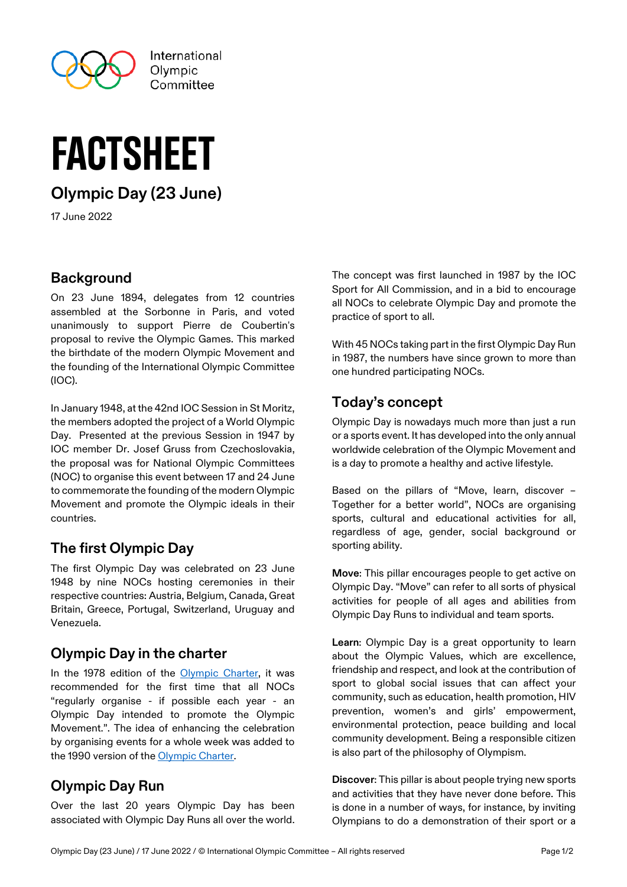

# factsheet

**Olympic Day (23 June)**

17 June 2022

#### **Background**

On 23 June 1894, delegates from 12 countries assembled at the Sorbonne in Paris, and voted unanimously to support Pierre de Coubertin's proposal to revive the Olympic Games. This marked the birthdate of the modern Olympic Movement and the founding of the International Olympic Committee (IOC).

In January 1948, at the 42nd IOC Session in St Moritz, the members adopted the project of a World Olympic Day. Presented at the previous Session in 1947 by IOC member Dr. Josef Gruss from Czechoslovakia, the proposal was for National Olympic Committees (NOC) to organise this event between 17 and 24 June to commemorate the founding of the modern Olympic Movement and promote the Olympic ideals in their countries.

## **The first Olympic Day**

The first Olympic Day was celebrated on 23 June 1948 by nine NOCs hosting ceremonies in their respective countries: Austria, Belgium, Canada, Great Britain, Greece, Portugal, Switzerland, Uruguay and Venezuela.

### **Olympic Day in the charter**

In the 1978 edition of the [Olympic Charter,](https://stillmed.olympic.org/Documents/Olympic%20Charter/Olympic_Charter_through_time/1978-Olympic_Charter.pdf) it was recommended for the first time that all NOCs "regularly organise - if possible each year - an Olympic Day intended to promote the Olympic Movement.". The idea of enhancing the celebration by organising events for a whole week was added to the 1990 version of the [Olympic Charter.](https://stillmed.olympic.org/Documents/Olympic%20Charter/Olympic_Charter_through_time/1990-Olympic_Charter.pdf)

### **Olympic Day Run**

Over the last 20 years Olympic Day has been associated with Olympic Day Runs all over the world. The concept was first launched in 1987 by the IOC Sport for All Commission, and in a bid to encourage all NOCs to celebrate Olympic Day and promote the practice of sport to all.

With 45 NOCs taking part in the first Olympic Day Run in 1987, the numbers have since grown to more than one hundred participating NOCs.

### **Today's concept**

Olympic Day is nowadays much more than just a run or a sports event. It has developed into the only annual worldwide celebration of the Olympic Movement and is a day to promote a healthy and active lifestyle.

Based on the pillars of "Move, learn, discover – Together for a better world", NOCs are organising sports, cultural and educational activities for all, regardless of age, gender, social background or sporting ability.

**Move**: This pillar encourages people to get active on Olympic Day. "Move" can refer to all sorts of physical activities for people of all ages and abilities from Olympic Day Runs to individual and team sports.

**Learn**: Olympic Day is a great opportunity to learn about the Olympic Values, which are excellence, friendship and respect, and look at the contribution of sport to global social issues that can affect your community, such as education, health promotion, HIV prevention, women's and girls' empowerment, environmental protection, peace building and local community development. Being a responsible citizen is also part of the philosophy of Olympism.

**Discover**: This pillar is about people trying new sports and activities that they have never done before. This is done in a number of ways, for instance, by inviting Olympians to do a demonstration of their sport or a